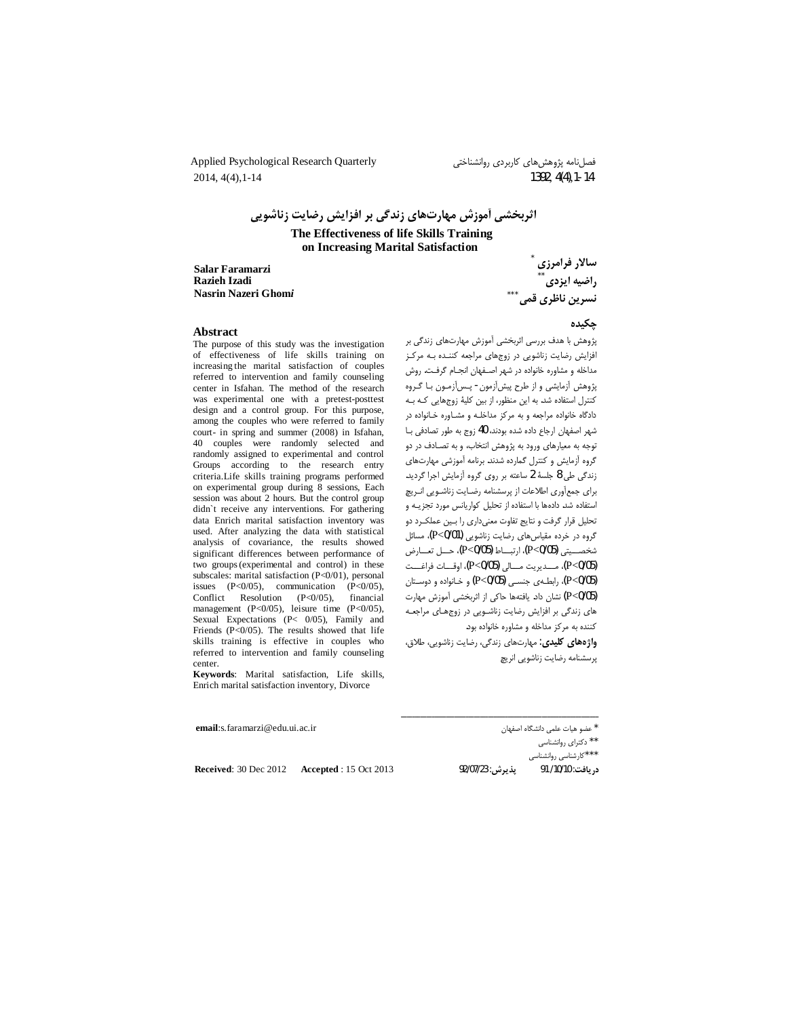Applied Psychological Research Quarterly  $2014, 4(4), 1-14$ 

فصلنامه پژوهشهای کاربردی روانشناختی 1392, 4(4), 1-14

اثربخشی آموزش مهارتهای زندگی بر افزایش رضایت زناشویی The Effectiveness of life Skills Training

on Increasing Marital Satisfaction

**Salar Faramarzi** Razieh Izadi Nasrin Nazeri Ghomi

سالار فرامرزی راضيه ايزدى ً ۔<br>نسرین ناظری قمی ٌ ٌ ٌ

#### **Abstract**

The purpose of this study was the investigation of effectiveness of life skills training on increasing the marital satisfaction of couples referred to intervention and family counseling center in Isfahan. The method of the research was experimental one with a pretest-posttest design and a control group. For this purpose, among the couples who were referred to family court- in spring and summer (2008) in Isfahan, 40 couples were randomly selected and randomly assigned to experimental and control Groups according to the research entry criteria.Life skills training programs performed on experimental group during 8 sessions, Each session was about 2 hours. But the control group didn't receive any interventions. For gathering data Enrich marital satisfaction inventory was used. After analyzing the data with statistical analysis of covariance, the results showed significant differences between performance of two groups (experimental and control) in these subscales: marital satisfaction (P<0/01), personal issues  $(P<0/05)$ , communication  $(P<0/05)$ , Conflict Resolution  $(P<0/05)$ . financial management (P<0/05), leisure time (P<0/05), Sexual Expectations (P< 0/05), Family and Friends  $(P<0/05)$ . The results showed that life skills training is effective in couples who referred to intervention and family counseling center.

Keywords: Marital satisfaction, Life skills, Enrich marital satisfaction inventory, Divorce

جكيده

پژوهش با هدف بررسی اثربخشی آموزش مهارتهای زندگی بر افزایش رضایت زناشویی در زوجهای مراجعه کننـده بـه مرکـز مداخله و مشاوره خانواده در شهر اصـفهان انجـام گرفـت. روش پژوهش أزمايشي و از طرح پيشآزمون- پــسآزمـون بـا گـروه کنترل استفاده شد. به این منظور، از بین کلیهٔ زوجهایی کـه بـه دادگاه خانواده مراجعه و به مرکز مداخلـه و مشـاوره خـانواده در شهر اصفهان ارجاع داده شده بودند، 40 زوج به طور تصادفي بـا توجه به معیارهای ورود به پژوهش انتخاب، و به تصـادف در دو گروه آزمایش و کنترل گمارده شدند. برنامه آموزشی مهارتهای زندگی طی 8 جلسهٔ 2 ساعته بر روی گروه آزمایش اجرا گردید. برای جمعأوری اطلاعات از پرسشنامه رضایت زناشویی انـریچ استفاده شد. دادهها با استفاده از تحلیل کواریانس مورد تجزیـه و تحلیل قرار گرفت و نتایج تفاوت معنیداری را بین عملک رد دو گروه در خرده مقیاس های رضایت زناشویی (P<0/01)، مسائل شخصيتي (P<0/05)، ارتباط (P<0/05)، حسل تعارض (P<0/05)، مــديريت مـــالى (P<0/05)، اوقـــات فراغـــت (P<0/05)، رابطهي جنسي (P<0/05) و خانواده و دوستان (P<0/05) نشان داد. یافتهها حاکی از اثربخشی آموزش مهارت های زندگی بر افزایش رضایت زناشویی در زوجهای مراجعه کننده به مرکز مداخله و مشاوره خانواده بود.

واژههای کلیدی: مهارتهای زندگی، رضایت زناشویی، طلاق، يرسشنامه رضايت زناشويي انريچ

| email: s. faramarzi@edu.ui. ac. ir |                       |                 | * عضو هيات علمي دانشگاه اصفهان |
|------------------------------------|-----------------------|-----------------|--------------------------------|
|                                    |                       |                 | ** دکترای روانشناسی            |
|                                    |                       |                 | ***کارشناسی روانشناسی          |
| <b>Received:</b> $30$ Dec $2012$   | Accepted: 15 Oct 2013 | يديرش: 92/07/23 | :, يافت: 10/10/ 91             |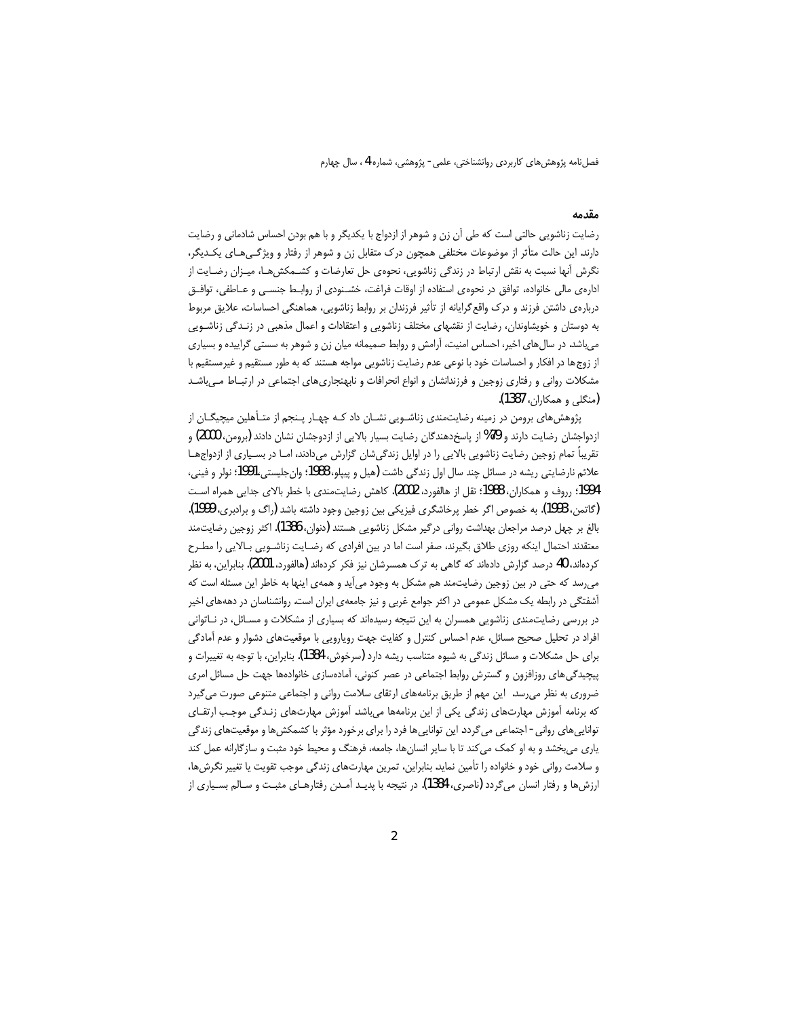#### مقدمه

رضایت زناشویی حالتی است که طی آن زن و شوهر از ازدواج با یکدیگر و با هم بودن احساس شادمانی و رضایت دارند. این حالت متأثر از موضوعات مختلفی همچون درک متقابل زن و شوهر از رفتار و ویژگـیهـای یکـدیگر، نگرش آنها نسبت به نقش ارتباط در زندگی زناشویی، نحوه ی حل تعارضات و کشــمکش۵ــا، میــزان رضــایت از ادارهی مالی خانواده، توافق در نحوهی استفاده از اوقات فراغت، خشـنودی از روابـط جنسـی و عـاطفی، توافـق دربارهی داشتن فرزند و درک واقع گرایانه از تأثیر فرزندان بر روابط زناشویی، هماهنگی احساسات، علایق مربوط به دوستان و خویشاوندان، رضایت از نقشهای مختلف زناشویی و اعتقادات و اعمال مذهبی در زنـدگی زناشـویی میباشد. در سال های اخیر، احساس امنیت، آرامش و روابط صمیمانه میان زن و شوهر به سستی گراییده و بسیاری از زوج ها در افکار و احساسات خود با نوعی عدم رضایت زناشویی مواجه هستند که به طور مستقیم و غیرمستقیم با مشکلات روانی و رفتاری زوجین و فرزندانشان و انواع انحرافات و نابهنجاریهای اجتماعی در ارتبـاط مـیباشـد (منگلی و همکاران، 1387).

پژوهشهای برومن در زمینه رضایتمندی زناشـویی نشـان داد کـه چهـار پـنجم از متـأهلین میچیگـان از ازدواجشان رضایت دارند و 79% از پاسخدهندگان رضایت بسیار بالایی از ازدوجشان نشان دادند (برومن، 2000) و تقریباً تمام زوجین رضایت زناشویی بالایی را در اوایل زندگیشان گزارش میدادند، امـا در بسـیاری از ازدواجهـا علائم نارضایتی ریشه در مسائل چند سال اول زندگی داشت (هیل و پیپلو، 1988؛ وانجلیستی،1991؛ نولر و فینی، 1994؛ رروف و همکاران، 1988؛ نقل از هالفورد، 2002). کاهش رضایت،مندی با خطر بالای جدایی همراه است (گاتمن، 1993). به خصوص اگر خطر پرخاشگری فیزیکی بین زوجین وجود داشته باشد (راگ و برادبری، 1999). بالغ بر چهل درصد مراجعان بهداشت روانی درگیر مشکل زناشویی هستند (دنوان، 1386). اکثر زوجین رضایتمند معتقدند احتمال اینکه روزی طلاق بگیرند، صفر است اما در بین افرادی که رضـایت زناشـویی بـالایی را مطـرح کردهاند، 40 درصد گزارش دادهاند که گاهی به ترک همسرشان نیز فکر کردهاند (هالفورد، 2001). بنابراین، به نظر میرسد که حتی در بین زوجین رضایتمند هم مشکل به وجود میآید و همهی اینها به خاطر این مسئله است که آشفتگی در رابطه یک مشکل عمومی در اکثر جوامع غربی و نیز جامعهی ایران است. روانشناسان در دهههای اخیر در بررسی رضایتمندی زناشویی همسران به این نتیجه رسیدهاند که بسیاری از مشکلات و مسـائل، در نـاتوانی افراد در تحلیل صحیح مسائل، عدم احساس کنترل و کفایت جهت رویارویی با موقعیتهای دشوار و عدم آمادگی برای حل مشکلات و مسائل زندگی به شیوه متناسب ریشه دارد (سرخوش، 1384). بنابراین، با توجه به تغییرات و پیچیدگی های روزافزون و گسترش روابط اجتماعی در عصر کنونی، آمادهسازی خانوادهها جهت حل مسائل امری ضروری به نظر می رسد. این مهم از طریق برنامههای ارتقای سلامت روانی و اجتماعی متنوعی صورت می گیرد که برنامه آموزش مهارتهای زندگی یکی از این برنامهها میباشد. آموزش مهارتهای زنـدگی موجب ارتقـای توانایی های روانی - اجتماعی می گردد. این توانایی ها فرد را برای برخورد مؤثر با کشمکش ها و موقعیتهای زندگی یاری میبخشد و به او کمک می کند تا با سایر انسانها، جامعه، فرهنگ و محیط خود مثبت و سازگارانه عمل کند و سلامت روانی خود و خانواده را تأمین نماید. بنابراین، تمرین مهارتهای زندگی موجب تقویت یا تغییر نگرش ها، ارزشها و رفتار انسان می¢دد (ناصری، 1384). در نتیجه با پدیـد آمـدن رفتارهـای مثبـت و سـالم بسـیاری از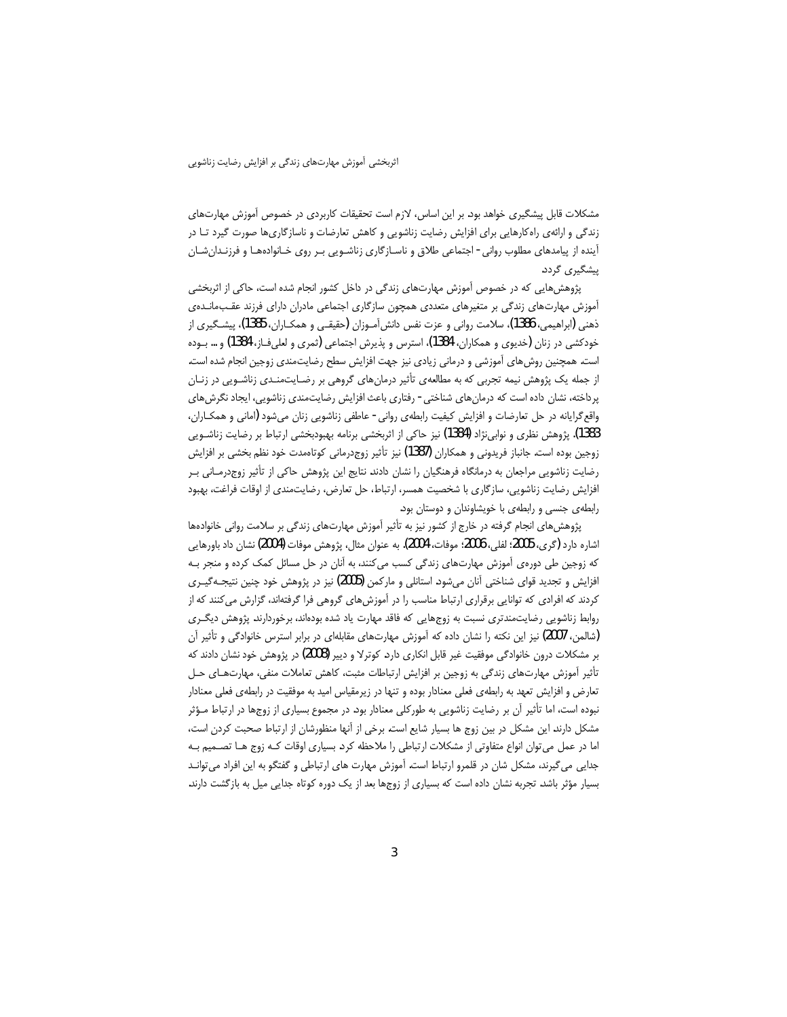مشکلات قابل پیشگیری خواهد بود. بر این اساس، لازم است تحقیقات کاربردی در خصوص آموزش مهارتهای زندگی و ارائهی راهکارهایی برای افزایش رضایت زناشویی و کاهش تعارضات و ناسازگاریها صورت گیرد تـا در أينده از پيامدهاى مطلوب روانى - اجتماعى طلاق و ناسـازگارى زناشـويى بـر روى خــانوادههــا و فرزنــدان شــان پیشگیری گردد.

پژوهش هایی که در خصوص آموزش مهارتهای زندگی در داخل کشور انجام شده است، حاکی از اثربخشی آموزش مهارتهای زندگی بر متغیرهای متعددی همچون سازگاری اجتماعی مادران دارای فرزند عقب،مانـدهی ذهني (ابراهيمي، 1386)، سلامت رواني و عزت نفس دانش[مـوزان (حقيقـي و همكـاران، 1385)، پيشـگيري از خودکشی در زنان (خدیوی و همکاران، 1384)، استرس و پذیرش اجتماعی (ثمری و لعلیفـاز، 1384) و … بــوده است. همچنین روش های آموزشی و درمانی زیادی نیز جهت افزایش سطح رضایتمندی زوجین انجام شده است. از جمله یک پژوهش نیمه تجربی که به مطالعهی تأثیر درمانهای گروهی بر رضـایتمنـدی زناشـویی در زنـان پرداخته، نشان داده است که درمان های شناختی - رفتاری باعث افزایش رضایتمندی زناشویی، ایجاد نگرش های واقع گرایانه در حل تعارضات و افزایش کیفیت رابطهی روانی - عاطفی زناشویی زنان میشود (امانی و همکـاران، 1383). پژوهش نظری و نوابینژاد (1384) نیز حاکی از اثربخشی برنامه بهبودبخشی ارتباط بر رضایت زناشـویی زوجین بوده است. جانباز فریدونی و همکاران (1387) نیز تأثیر زوجدرمانی کوتاەمدت خود نظم بخشی بر افزایش رضایت زناشویی مراجعان به درمانگاه فرهنگیان را نشان دادند. نتایج این پژوهش حاکی از تأثیر زوجدرمـانی بـر افزایش رضایت زناشویی، سازگاری با شخصیت همسر، ارتباط، حل تعارض، رضایتمندی از اوقات فراغت، بهبود رابطهی جنسی و رابطهی با خویشاوندان و دوستان بود.

پژوهشهای انجام گرفته در خارج از کشور نیز به تأثیر آموزش مهارتهای زندگی بر سلامت روانی خانوادهها اشاره دارد (گرى، 2005؛ لفلى، 2006؛ موفات، 2004). به عنوان مثال، پژوهش موفات (2004) نشان داد باورهايي که زوجین طی دورهی آموزش مهارتهای زندگی کسب می کنند، به آنان در حل مسائل کمک کرده و منجر بـه افزایش و تجدید قوای شناختی آنان میشود. استانلی و مارکمن (2005) نیز در پژوهش خود چنین نتیجـهگیــری کردند که افرادی که توانایی برقراری ارتباط مناسب را در آموزشهای گروهی فرا گرفتهاند، گزارش میکنند که از روابط زناشویی رضایتمندتری نسبت به زوجهایی که فاقد مهارت یاد شده بودهاند، برخوردارند. پژوهش دیگـری (شالمن، 2007) نیز این نکته را نشان داده که آموزش مهارتهای مقابلهای در برابر استرس خانوادگی و تأثیر آن بر مشکلات درون خانوادگی موفقیت غیر قابل انکاری دارد. کوترلا و دییر (2008) در پژوهش خود نشان دادند که تأثیر آموزش مهارتهای زندگی به زوجین بر افزایش ارتباطات مثبت، کاهش تعاملات منفی، مهارتهای حل تعارض و افزایش تعهد به رابطهی فعلی معنادار بوده و تنها در زیرمقیاس امید به موفقیت در رابطهی فعلی معنادار نبوده است، اما تأثیر آن بر رضایت زناشویی به طورکلی معنادار بود. در مجموع بسیاری از زوجها در ارتباط مـؤثر مشکل دارند. این مشکل در بین زوج ها بسیار شایع است. برخی از آنها منظورشان از ارتباط صحبت کردن است، اما در عمل می توان انواع متفاوتی از مشکلات ارتباطی را ملاحظه کرد. بسیاری اوقات کـه زوج هــا تصــمیم بــه جدایی می گیرند، مشکل شان در قلمرو ارتباط است. آموزش مهارت های ارتباطی و گفتگو به این افراد می توانـد بسیار مؤثر باشد. تجربه نشان داده است که بسیاری از زوجها بعد از یک دوره کوتاه جدایی میل به بازگشت دارند.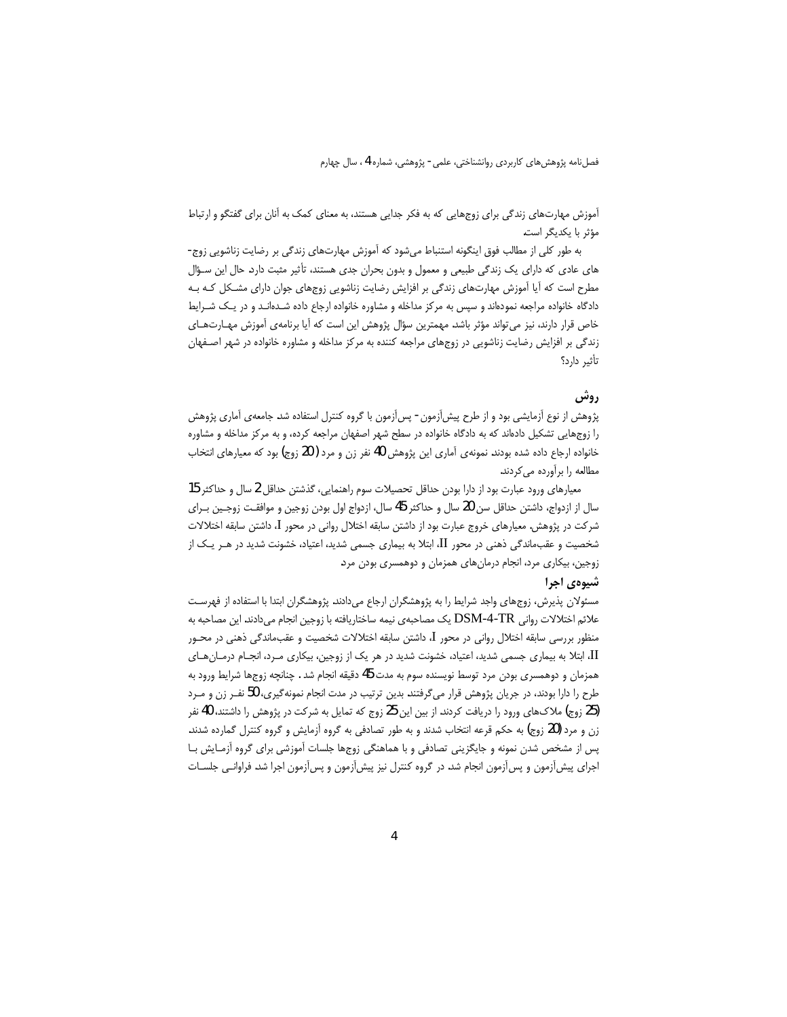آموزش مهارتهای زندگی برای زوجهایی که به فکر جدایی هستند، به معنای کمک به آنان برای گفتگو و ارتباط مؤثر با يكديگر است.

به طور کلی از مطالب فوق اینگونه استنباط میشود که آموزش مهارتهای زندگی بر رضایت زناشویی زوج-های عادی که دارای یک زندگی طبیعی و معمول و بدون بحران جدی هستند، تأثیر مثبت دارد. حال این سـؤال مطرح است که آیا آموزش مهارتهای زندگی بر افزایش رضایت زناشویی زوجهای جوان دارای مشـکل کـه بـه دادگاه خانواده مراجعه نمودهاند و سپس به مرکز مداخله و مشاوره خانواده ارجاع داده شـدهانـد و در یـک شـرایط خاص قرار دارند، نیز می تواند مؤثر باشد. مهمترین سؤال پژوهش این است که آیا برنامهی آموزش مهـارتهـای زندگی بر افزایش رضایت زناشویی در زوجهای مراجعه کننده به مرکز مداخله و مشاوره خانواده در شهر اصـفهان تأثير دارد؟

# روش

پژوهش از نوع آزمایشی بود و از طرح پیش[زمون - پس[زمون با گروه کنترل استفاده شد. جامعهی آماری پژوهش را زوجهایی تشکیل دادهاند که به دادگاه خانواده در سطح شهر اصفهان مراجعه کرده، و به مرکز مداخله و مشاوره خانواده ارجاع داده شده بودند. نمونهی آماری این پژوهش 40 نفر زن و مرد ( 20 زوج) بود که معیارهای انتخاب مطالعه را برآورده مے کردند.

معيارهاي ورود عبارت بود از دارا بودن حداقل تحصيلات سوم راهنمايي، گذشتن حداقل 2 سال و حداكثر 15 سال از ازدواج، داشتن حداقل سن 20 سال و حداكثر 45 سال، ازدواج اول بودن زوجين و موافقت زوجـين بـراي شرکت در پژوهش. معیارهای خروج عبارت بود از داشتن سابقه اختلال روانی در محور I، داشتن سابقه اختلالات شخصیت و عقبءاندگی ذهنی در محور II، ابتلا به بیماری جسمی شدید، اعتیاد، خشونت شدید در هـر یـک از زوجین، بیکاری مرد، انجام درمانهای همزمان و دوهمسری بودن مرد.

### شيوهي اجرا

مسئولان پذیرش، زوجهای واجد شرایط را به پژوهشگران ارجاع میدادند. پژوهشگران ابتدا با استفاده از فهرست علائم اختلالات رواني DSM-4-TR يک مصاحبهي نيمه ساختاريافته با زوجين انجام ميدادند. اين مصاحبه به منظور بررسی سابقه اختلال روانی در محور I، داشتن سابقه اختلالات شخصیت و عقبماندگی ذهنی در محـور II، ابتلا به بیماری جسمی شدید، اعتیاد، خشونت شدید در هر یک از زوجین، بیکاری مـرد، انجـام درمـان هـای همزمان و دوهمسري بودن مرد توسط نويسنده سوم به مدت 45 دقيقه انجام شد . چنانچه زوجها شرايط ورود به طرح را دارا بودند، در جریان پژوهش قرار میگرفتند. بدین ترتیب در مدت انجام نمونهگیری، 50 نفـر زن و مـرد (25 زوج) ملاکهای ورود را دریافت کردند. از بین این 25 زوج که تمایل به شرکت در پژوهش را داشتند، 40 نفر زن و مرد (20 زوج) به حکم قرعه انتخاب شدند و به طور تصادفی به گروه آزمایش و گروه کنترل گمارده شدند. پس از مشخص شدن نمونه و جایگزینی تصادفی و با هماهنگی زوجها جلسات آموزشی برای گروه آزمـایش بـا اجرای پیشآزمون و پسآزمون انجام شد. در گروه کنترل نیز پیشآزمون و پسآزمون اجرا شد. فراوانـی جلسـات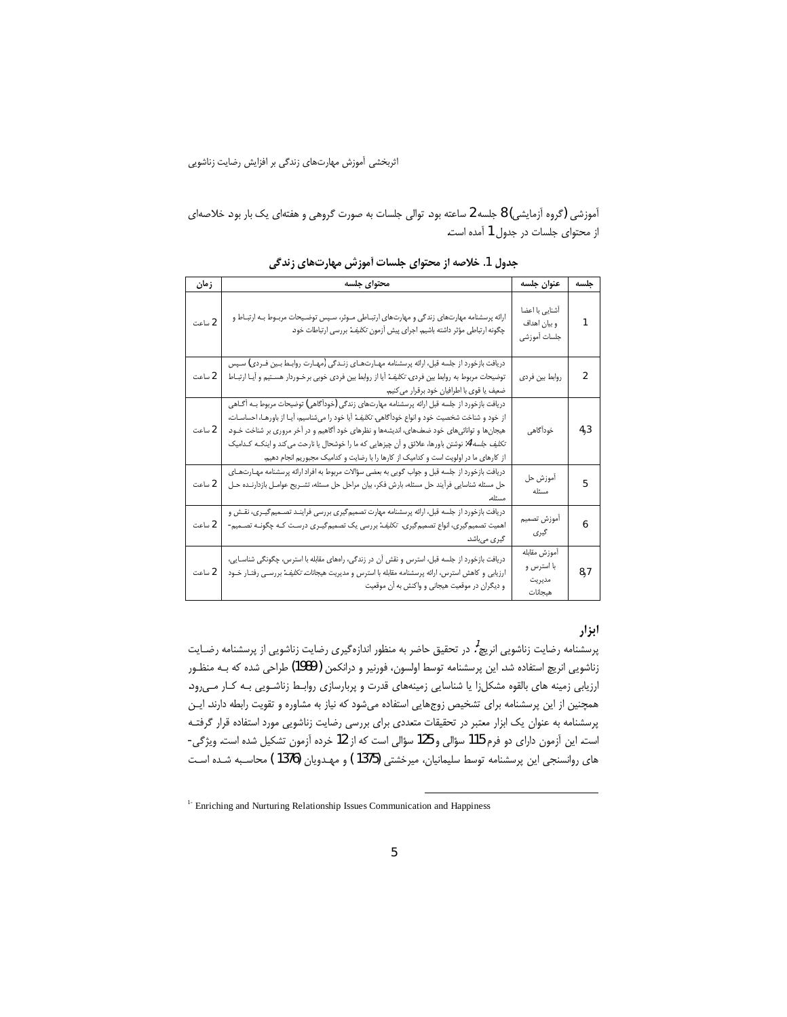آموزشی (گروه اَزمایشی) 8 جلسه 2 ساعته بود. توالی جلسات به صورت گروهی و هفتهای یک بار بود. خلاصهای از محتوای جلسات در جدول 1 آمده است.

| ز مان  | محتواي جلسه                                                                                                                                                                                                                                                                                                                                                                                                                                                                                                      | عنوان جلسه                                      | جلسه           |
|--------|------------------------------------------------------------------------------------------------------------------------------------------------------------------------------------------------------------------------------------------------------------------------------------------------------------------------------------------------------------------------------------------------------------------------------------------------------------------------------------------------------------------|-------------------------------------------------|----------------|
| 2 ساعت | ارائه پرسشنامه مهارتهای زندگی و مهارتهای ارتبـاطی مـوثر، سـپس توضـیحات مربـوط بـه ارتبـاط و<br>چگونه ارتباطی مؤثر داشته باشیم. اجرای پیش أزمون <i>تکلیف</i> : بررسی ارتباطات خود.                                                                                                                                                                                                                                                                                                                                | أشنايى با اعضا<br>و بيان اهداف<br>جلسات أموزشى  | 1              |
| 2 ساعت | دریافت بازخورد از جلسه قبل، ارائه پرسشنامه مهـارتهـاي زنـدگي (مهـارت روابـط بـین فـردي) سـپس<br>توضیحات مربوط به روابط بین فرد <i>ی. تکلیف</i> : آیا از روابط بین فردی خوبی برخـوردار هسـتیم و آیـا ارتبـاط<br>ضعيف يا قوى با اطرافيان خود برقرار مى كنيم.                                                                                                                                                                                                                                                       | روابط بين فردى                                  | $\overline{2}$ |
| 2 ساعت | دریافت بازخورد از جلسه قبل ارائه پرسشنامه مهارتهای زندگی (خودآگاهی) توضیحات مربوط بــه آگــاهی<br>از خود و شناخت شخصیت خود و انواع خوداًگاهی. <i>تکلیف</i> : آیا خود را میشناسیم، آیـا از باورهـا، احساسـات،<br>هیجانها و توانائیهای خود ضعفهای، اندیشهها و نظرهای خود آگاهیم و در آخر مروری بر شناخت خـود.<br><i>تکلیف جلسه 4</i> : نوشتن باورها، علائق و اّن چیزهایی که ما را خوشحال یا نارحت می کند و اینکـه کـدامیک<br>از کارهای ما در اولویت است و کدامیک از کارها را با رضایت و کدامیک مجبوریم انجام دهیم. | خودأگاهي                                        | 4,3            |
| 2 ساعت | دریافت بازخورد از جلسه قبل و جواب گویی به بعضی سؤالات مربوط به افراد ارائه پرسشنامه مهـارتهـای<br>حل مسئله شناسایی فرأیند حل مسئله، بارش فکر، بیان مراحل حل مسئله، تشــریح عوامــل بازدارنــده حــل<br>مسئله.                                                                                                                                                                                                                                                                                                    | أموزش حل<br>مسئله                               | 5              |
| 2 ساعت | دریافت بازخورد از جلسه قبل، ارائه پرسشنامه مهارت تصمیم گیری بررسی فراینـد تصــمیم گیــری، نقــش و<br>اهمیت تصمیم گیری، انواع تصمیم گیری. تکلیف: بررسی یک تصمیم گیـری درسـت کـه چگونـه تصـمیم-<br>گیری میباشد.                                                                                                                                                                                                                                                                                                    | أموزش تصميم<br>گیری                             | 6              |
| 2 ساعت | دریافت بازخورد از جلسه قبل، استرس و نقش آن در زندگی، راههای مقابله با استرس، چگونگی شناسـایی،<br>ارزیابی و کاهش استرس، ارائه پرسشنامه مقابله با استرس و مدیریت هیجانات. <i>تکلیف</i> : بررسـی رفتـار خــود<br>و دیگران در موقعیت هیجانی و واکنش به آن موقعیت                                                                                                                                                                                                                                                     | أموزش مقابله<br>با استرس و<br>مديريت<br>هيجانات | 8,7            |

جدول 1. خلاصه از محتوای جلسات آموزش مهارتهای زندگی

# ابزار

پرسشنامه رضایت زناشویی انریچ<sup>7</sup>. در تحقیق حاضر به منظور اندازهگیری رضایت زناشویی از پرسشنامه رضـایت زناشویی انریچ استفاده شد. این پرسشنامه توسط اولسون، فورنیر و درانکمن ( 1989) طراحی شده که بـه منظـور ارزیابی زمینه های بالقوه مشکلزا یا شناسایی زمینههای قدرت و پربارسازی روابط زناشـویی بـه کـار مـیرود. همچنین از این پرسشنامه برای تشخیص زوجهایی استفاده میشود که نیاز به مشاوره و تقویت رابطه دارند. ایـن پرسشنامه به عنوان یک ابزار معتبر در تحقیقات متعددی برای بررسی رضایت زناشویی مورد استفاده قرار گرفتـه است. این آزمون دارای دو فرم 115 سؤالی و 125 سؤالی است که از 12 خرده آزمون تشکیل شده است. ویژگی-های روانسنجی این پرسشنامه توسط سلیمانیان، میرخشتی (1375) و مهدویان (1376 ) محاسبه شده است

<sup>&</sup>lt;sup>1-</sup> Enriching and Nurturing Relationship Issues Communication and Happiness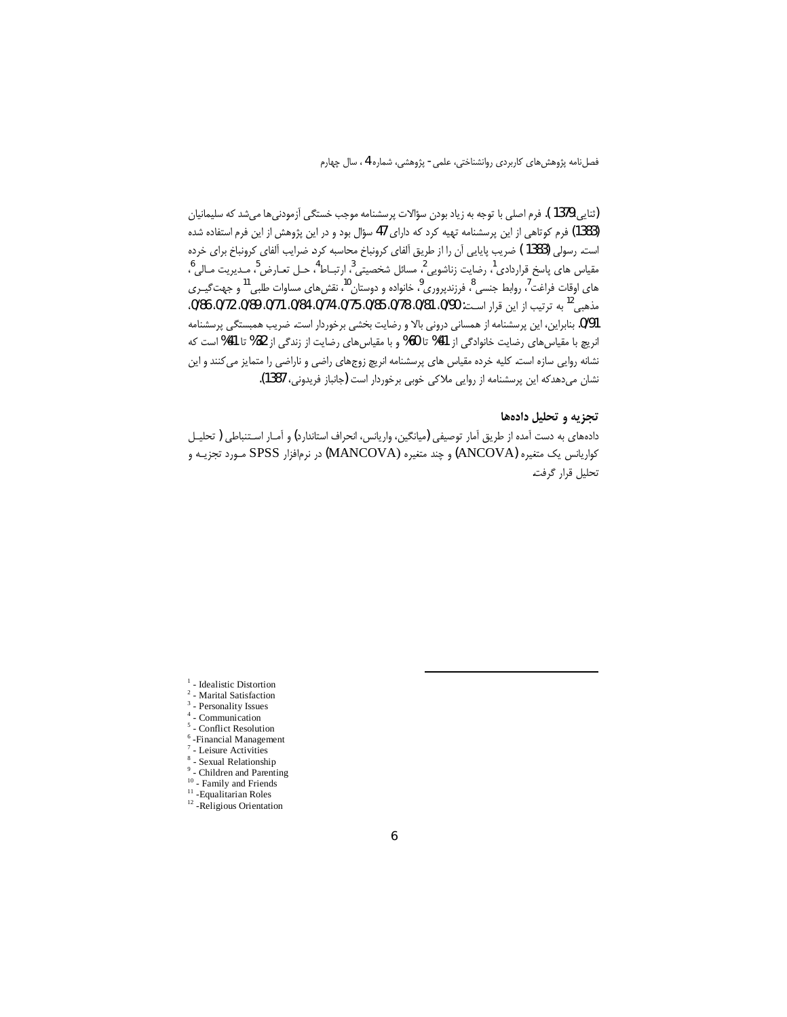(ثنایی،1379 ). فرم اصلی با توجه به زیاد بودن سؤالات پرسشنامه موجب خستگی آزمودنی ها می شد که سلیمانیان (1383) فرم کوتاهی از این پرسشنامه تهیه کرد که دارای 47 سؤال بود و در این پژوهش از این فرم استفاده شده است. رسولی (1383 ) ضریب پایایی آن را از طریق آلفای کرونباخ محاسبه کرد. ضرایب آلفای کرونباخ برای خرده مقياس هاي پاسخ قراردادي<sup>1</sup>، رضايت زناشويي<sup>2</sup>، مسائل شخصيتي<sup>3</sup>، ارتبــاط<sup>4</sup>، حــل تعــارض<sup>5</sup>، مــديريت مــالي<sup>6</sup>، های اوقات فراغت<sup>7</sup>، روابط جنسی <sup>8</sup>، فرزندپروری <sup>9</sup>، خانواده و دوستان <sup>10</sup>، نقشهای مساوات طلبی<sup>11</sup> و جهت *گیـری* مذهبي<sup>12</sup> به ترتيب از اين قرار است: 0/90، 0/81، 0/78، 0/85، 0/75، 0/74، 0/84، 0/71، 0/89، 0/72، 0/86، 0/91. بنابراین، این پرسشنامه از همسانی درونی بالا و رضایت بخشی برخوردار است. ضریب همبستگی پرسشنامه انریچ با مقیاس های رضایت خانوادگی از 41% تا 60% و با مقیاس های رضایت از زندگی از 32% تا 41% است که نشانه روایی سازه است. کلیه خرده مقیاس های پرسشنامه انریچ زوجهای راضی و ناراضی را متمایز می کنند و این نشان میدهدکه این پرسشنامه از روایی ملاکی خوبی برخوردار است (جانباز فریدونی، 1387).

## تجزیه و تحلیل دادهها

دادههای به دست آمده از طریق آمار توصیفی (میانگین، واریانس، انحراف استاندارد) و آمـار اسـتنباطی ( تحلیـل كواريانس يک متغيره (ANCOVA) و چند متغيره (MANCOVA) در نرمافزار SPSS صورد تجزيـه و تحليل قرار گرفت.

- $1$  Idealistic Distortion
- <sup>2</sup> Marital Satisfaction
- $^3$  Personality Issues  $4$  - Communication
- 
- $5$  Conflict Resolution  $6$ -Financial Management
- $^7$  Leisure Activities
- $\,$  Sexual Relationship
- Children and Parenting
- <sup>10</sup> Family and Friends
- $11$ -Equalitarian Roles
- <sup>12</sup> Religious Orientation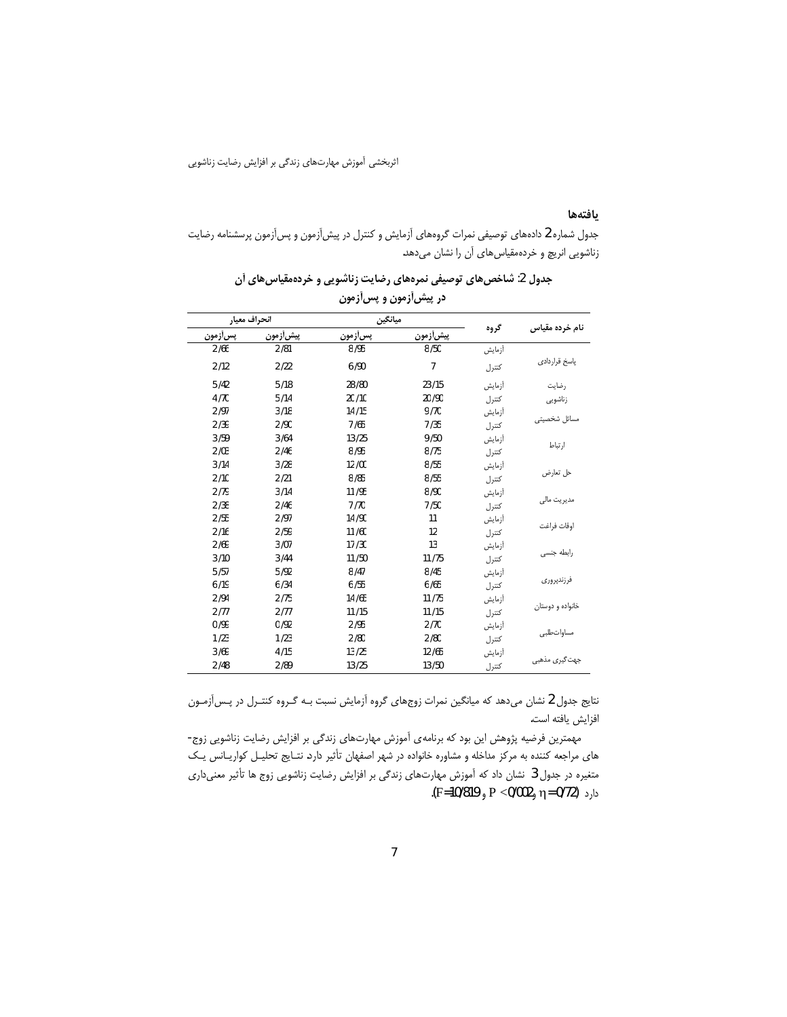### بافتهها

جدول شماره 2 دادههای توصیفی نمرات گروههای أزمایش و کنترل در پیش[زمون و پس[زمون پرسشنامه رضایت زناشویی انریچ و خردهمقیاس های آن را نشان میدهد.

|              |          | در پیش[زمون و پس[زمون |           |        |                  |
|--------------|----------|-----------------------|-----------|--------|------------------|
| انحراف معيار |          | ميانگين               |           |        |                  |
| پسأزمون      | پیش[زمون | پسأزمون               | پيش}أزمون | گروه   | نام خرده مقیاس   |
| 2/66         | 2/81     | 8/95                  | 8/50      | أزمايش |                  |
| 2/12         | 2/22     | 6/90                  | 7         | كتترل  | پاسخ قراردادى    |
| 5/42         | 5/18     | 28/80                 | 23/15     | أزمايش | رضايت            |
| 4/70         | 5/14     | 20/10                 | 20/90     | كتترل  | زناشويى          |
| 2/97         | 3/18     | 14/15                 | 9/70      | أزمايش |                  |
| 2/39         | 2/90     | 7/65                  | 7/35      | كتترل  | مسائل شخصيا      |
| 3/59         | 3/64     | 13/25                 | 9/50      | أزمايش |                  |
| 2/03         | 2/46     | 8/95                  | 8/75      | كتترل  | ارتباط           |
| 3/14         | 3/28     | 12/00                 | 8/55      | أزمايش |                  |
| 2/10         | 2/21     | 8 / 85                | 8/55      | كتترل  | حل تعارض         |
| 2/79         | 3/14     | 11/95                 | 8/90      | أزمايش |                  |
| 2/38         | 2/46     | 7/70                  | 7/50      | كتترل  | مدیریت مالی      |
| 2/55         | 2/97     | 14/90                 | 11        | أزمايش |                  |
| 2/16         | 2/59     | 11/60                 | 12        | كتترل  | اوقات فراغت      |
| 2/69         | 3/07     | 17/30                 | 13        | أزمايش |                  |
| 3/10         | 3/44     | 11/50                 | 11/75     | كتترل  | رابطه جنسی       |
| 5/57         | 5/92     | 8/47                  | 8/45      | أزمايش |                  |
| 6/19         | 6/34     | 6/55                  | 6/65      | كتترل  | فرزندپرورى       |
| 2 / 94       | 2/75     | 14/65                 | 11/75     | أزمايش |                  |
| 2/77         | 2/77     | 11/15                 | 11/15     | كتترل  | خانواده و دوستان |
| 0/99         | 0/92     | 2/95                  | 2/70      | أزمايش |                  |
| 1/23         | 1/23     | 2/80                  | 2/80      | كتترل  | مساواتطلبى       |
| 3/69         | 4/15     | 13/25                 | 12/65     | أزمايش |                  |
| 2/48         | 2/89     | 13/25                 | 13/50     | كتترل  | جھت گیری مذھبی   |

جدول 2: شاخصهای توصیفی نمرههای رضایت زناشویی و خردهمقیاسهای آن

نتایج جدول 2 نشان میدهد که میانگین نمرات زوجهای گروه اَزمایش نسبت بـه گـروه کنتـرل در پـس|زمـون افزايش يافته است.

مهمترین فرضیه پژوهش این بود که برنامهی آموزش مهارتهای زندگی بر افزایش رضایت زناشویی زوج-های مراجعه کننده به مرکز مداخله و مشاوره خانواده در شهر اصفهان تأثیر دارد. نتـایج تحلیـل کواریـانس یـک متغیره در جدول 3 نشان داد که آموزش مهارتهای زندگی بر افزایش رضایت زناشویی زوج ها تأثیر معنیداری دارد (π= 0/72 وP <0/002 و F=10/819).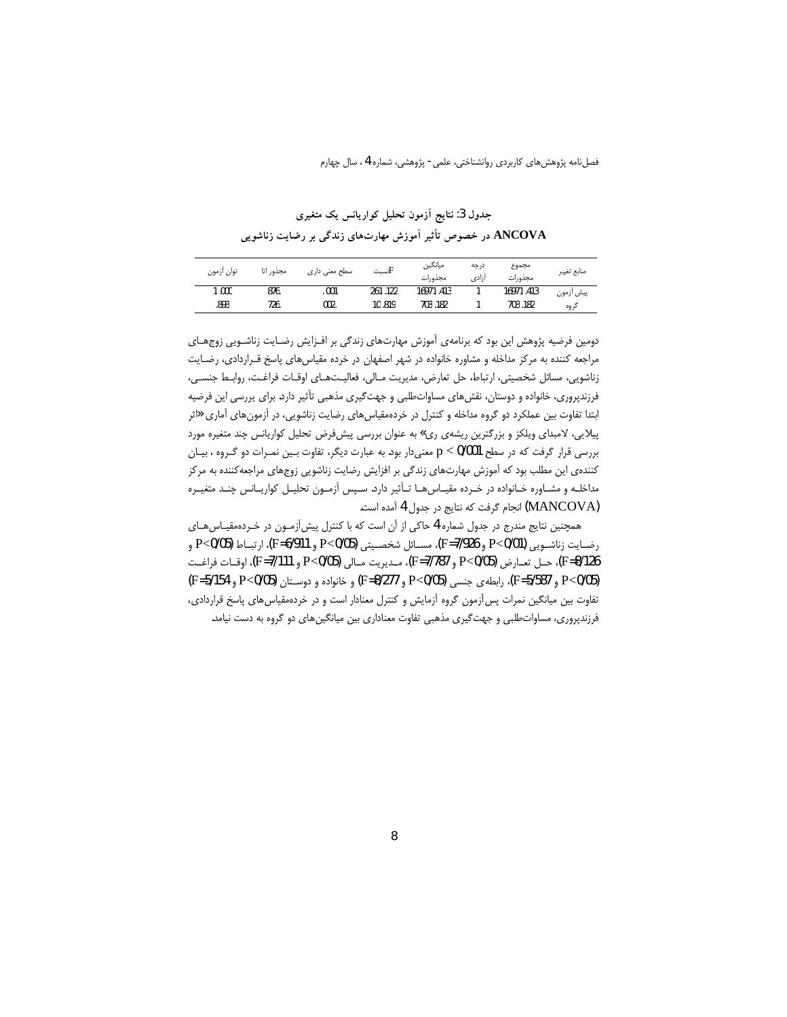جدول 3: نتايج آزمون تحليل كواريانس يك متغيري ANCOVA در خصوص تأثیر آموزش مهارتهای زندگی بر رضایت زناشویی

| توان ازمون | مجذور اتا | سطح معنی داری | تسبت $\rm F$ | ميانگين<br>مجذورات | درجه<br>أزادى | مجموع<br>مجذورات | منابع تغيير |
|------------|-----------|---------------|--------------|--------------------|---------------|------------------|-------------|
| 1.000      | 876.      | .001          | 261.122      | 16971.413          |               | 16971.413        | پیش ازمون   |
| .893       | 726.      | 002.          | 10.819       | 703.182            |               | 703.182          | گروه        |

دومین فرضیه پژوهش این بود که برنامهی آموزش مهارتهای زندگی بر افـزایش رضـایت زناشـویی زوجهـای مراجعه کننده به مرکز مداخله و مشاوره خانواده در شهر اصفهان در خرده مقیاسهای پاسخ قـراردادی، رضـایت زناشويي، مسائل شخصيتي، ارتباط، حل تعارض، مديريت مـالي، فعاليـتهـاي اوقـات فراغـت، روابـط جنسـى، فرزندپروری، خانواده و دوستان، نقش های مساواتطلبی و جهت گیری مذهبی تأثیر دارد. برای پررسی این فرضیه ابتدا تفاوت بین عملکرد دو گروه مداخله و کنترل در خردهمقیاسهای رضایت زناشویی، در آزمونهای آماری «اثر پیلایی، لامبدای ویلکز و بزرگترین ریشهی ری» به عنوان بررسی پیشفرض تحلیل کواریانس چند متغیره مورد بررسی قرار گرفت که در سطح p < 0/001 معنیدار بود. به عبارت دیگر، تفاوت بـین نمـرات دو گـروه ، بیـان کنندهی این مطلب بود که آموزش مهارتهای زندگی بر افزایش رضایت زناشویی زوجهای مراجعهکننده به مرکز مداخلـه و مشـاوره خـانواده در خـرده مقيــاسαــا تـأثير دارد. سـپس آزمــون تحليـل كواريــانس چنـد متغيــره (MANCOVA) انجام گرفت كه نتايج در جدول 4 آمده است.

همچنین نتایج مندرج در جدول شماره 4 حاکی از آن است که با کنترل پیش آزمـون در خـردهمقیــاس۵هــای رضـايت زناشــويي (P<0/01 و F=7/926، مســائل شخصــيتي (P<0/05 و F=6/911)، ارتبــاط (P<0/05 و F=8/126)، حـل تعـارض (P<0/05 و F=7/787)، مـديريت مـالي (P<0/05 و F=7/111)، اوقــات فراغـت (F=5/587 و F=5/587)، رابطه ی جنسی P<0/05 و F=8/277 و F=8/277) و P<0/05 و P=5/154 و F=5/154) تفاوت بین میانگین نمرات پس آزمون گروه آزمایش و کنترل معنادار است و در خردهمقیاس های پاسخ قراردادی، فرزندپروری، مساواتطلبی و جهت گیری مذهبی تفاوت معناداری بین میانگینهای دو گروه به دست نیامد.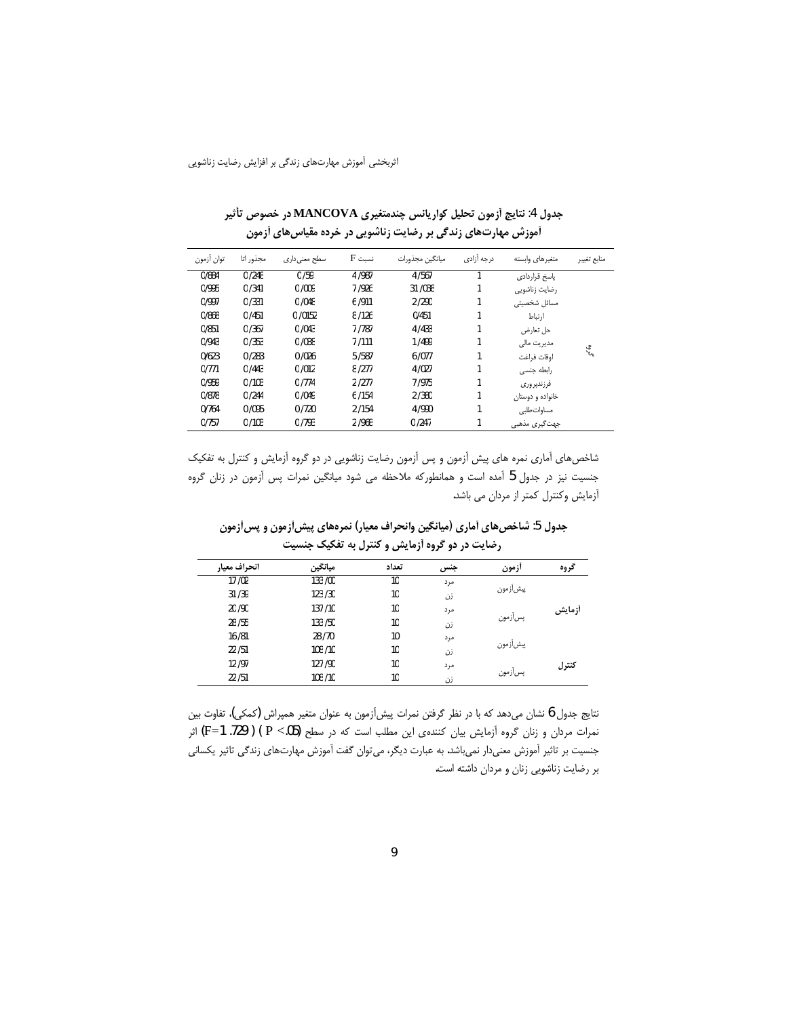| توان أزمون | مجذور اتا | سطح معنی داری | $F \nightharpoonup$ نسبت | ميانگين مجذورات | درجه آزادی | متغيرهاى وابسته  | منابع تغيير |
|------------|-----------|---------------|--------------------------|-----------------|------------|------------------|-------------|
| 0/884      | 0/248     | 0/59          | 4 / 987                  | 4/567           |            | ياسخ قراردادى    |             |
| 0/995      | 0/341     | 0/009         | 7/926                    | 31 / 038        | 1          | رضایت زناشویی    |             |
| 0/997      | 0/331     | 0/048         | 6/911                    | 2/290           |            | مسائل شخصيتى     |             |
| 0/868      | 0/451     | 0/0152        | 8/126                    | 0/451           |            | أرتباط           |             |
| 0/851      | 0/367     | 0/043         | 7 / 787                  | 4/433           | 1          | حل تعارض         |             |
| 0/943      | 0/353     | 0/038         | 7/111                    | 1/499           | 1          | مدیریت مالی      |             |
| 0/623      | 0/283     | 0/026         | 5/587                    | 6/077           |            | اوقات فراغت      | ಀೢೢಁ        |
| 0/771      | 0/443     | 0/012         | 8/277                    | 4/027           |            | رابطه جنسی       |             |
| 0/959      | 0/103     | 0/774         | 2/277                    | 7/975           |            | فرزندير وري      |             |
| 0/878      | 0/244     | 0/049         | 6/154                    | 2/380           | 1          | خانواده و دوستان |             |
| 0/764      | 0/095     | 0/720         | 2/154                    | 4/990           |            | مساواتطلبى       |             |
| 0/757      | 0/103     | 0/793         | 2/968                    | 0/247           | 1          | جهت گیری مذهبی   |             |

جدول 4: نتايج أزمون تحليل كواريانس چندمتغيري MANCOVA در خصوص تأثير آموزش مهارتهای زندگی بر رضایت زناشویی در خرده مقیاس های آزمون

شاخصهای آماری نمره های پیش آزمون و پس آزمون رضایت زناشویی در دو گروه آزمایش و کنترل به تفکیک جنسیت نیز در جدول 5 آمده است و همانطورکه ملاحظه می شود میانگین نمرات پس آزمون در زنان گروه أزمايش وكنترل كمتر از مردان مى باشد.

جدول 5: شاخصهای آماری (میانگین وانحراف معیار) نمرههای پیش[زمون و پس[زمون رضایت در دو گروه آزمایش و کنترل به تفکیک جنسیت

| انحراف معيار | ميانگين  | تعداد | جنس | ازمون      | گروه   |
|--------------|----------|-------|-----|------------|--------|
| 17/02        | 133 /00  | 10    | مرد |            |        |
| 31/39        | 123/30   | 10    | زن  | پیش آز مون |        |
| 20 / 90      | 137/10   | 10    | مرد |            | أزمايش |
| 28 / 55      | 133 / 50 | 10    | زن  | پسأزمون    |        |
| 16 / 81      | 28/70    | 10    | مرد |            |        |
| 22/51        | 108/10   | 10    | زن  | پیش آز مون |        |
| 12/97        | 127 / 90 | 10    | مرد |            | كنترل  |
| 22/51        | 108/10   | 10    | زن  | پسآزمون    |        |

نتايج جدول 6 نشان مىدهد كه با در نظر گرفتن نمرات پيش آزمون به عنوان متغير همپراش (كمكى)، تفاوت بين نمرات مردان و زنان گروه آزمایش بیان کنندهی این مطلب است که در سطح (P <.05) ( F=1 .729) اثر جنسیت بر تاثیر آموزش معنیدار نمیباشد. به عبارت دیگر، میتوان گفت آموزش مهارتهای زندگی تاثیر یکسانی بر رضایت زناشویی زنان و مردان داشته است.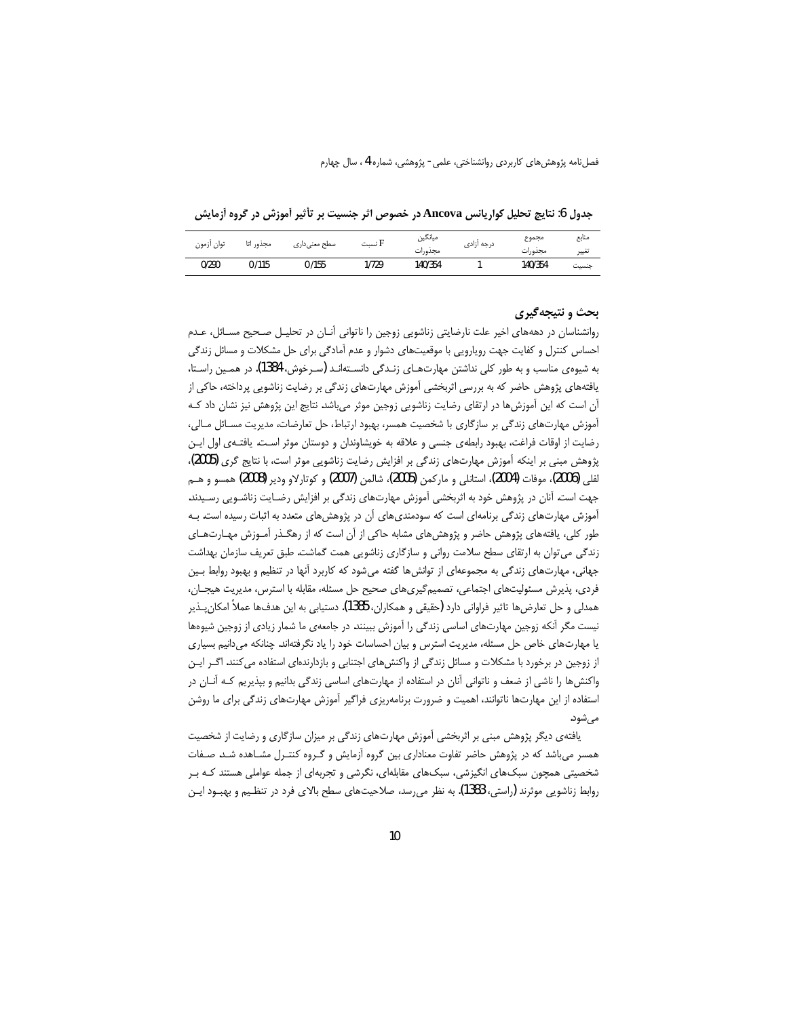جدول 6: نتايج تحليل كواريانس Ancova در خصوص اثر جنسيت بر تأثير أموزش در گروه أزمايش

| توان ازمون | مجذور اتا | سطح معنی داری | H نسبت | ميانگين<br>مجذورات | درجه ازادى | مجموع<br>مجذورات | منابع<br>تغيير |
|------------|-----------|---------------|--------|--------------------|------------|------------------|----------------|
| 0/290      | 0/115     | 0/155         | 1/729  | 140/354            |            | 140/354          | جنسيت          |

### بحث و نتیجهگیری

روانشناسان در دهههای اخیر علت نارضایتی زناشویی زوجین را ناتوانی آنـان در تحلیـل صـحیح مسـائل، عـدم احساس کنترل و کفایت جهت رویارویی با موقعیتهای دشوار و عدم آمادگی برای حل مشکلات و مسائل زندگی به شیوه ی مناسب و به طور کلی نداشتن مهارتهـای زنـدگی دانسـتهانـد (سـرخوش، 1384). در همـین راسـتا، یافتههای پژوهش حاضر که به بررسی اثربخشی آموزش مهارتهای زندگی بر رضایت زناشویی پرداخته، حاکی از آن است که این آموزش ها در ارتقای رضایت زناشویی زوجین موثر میباشد. نتایج این پژوهش نیز نشان داد کـه آموزش مهارتهای زندگی بر سازگاری با شخصیت همسر، بهبود ارتباط، حل تعارضات، مدیریت مسـائل مـالی، رضایت از اوقات فراغت، بهبود رابطهی جنسی و علاقه به خویشاوندان و دوستان موثر است. یافتـهی اول ایـن پژوهش مبنی بر اینکه آموزش مهارتهای زندگی بر افزایش رضایت زناشویی موثر است، با نتایج گری (2005)، لفلي (2006)، موفات (2004)، استانلي و ماركمن (2005)، شالمن (2007) و كوتارلاو ودير (2008) همسو و هــم جهت است. آنان در پژوهش خود به اثربخشی آموزش مهارتهای زندگی بر افزایش رضـایت زناشـویی رسـیدند. آموزش مهارتهای زندگی برنامهای است که سودمندیهای آن در پژوهشهای متعدد به اثبات رسیده است. بـه طور کلی، یافتههای پژوهش حاضر و پژوهشهای مشابه حاکی از آن است که از رهگـذر آمـوزش مهـارتهـای زندگی می توان به ارتقای سطح سلامت روانی و سازگاری زناشویی همت گماشت. طبق تعریف سازمان بهداشت جهانی، مهارتهای زندگی به مجموعهای از توانشها گفته میشود که کاربرد آنها در تنظیم و بهبود روابط بین فردی، پذیرش مسئولیتهای اجتماعی، تصمیمگیریهای صحیح حل مسئله، مقابله با استرس، مدیریت هیجــان، همدلی و حل تعارضها تاثیر فراوانی دارد (حقیقی و همکاران، 1385). دستیابی به این هدفها عملاً امکان پــذیر نیست مگر آنکه زوجین مهارتهای اساسی زندگی را آموزش ببینند. در جامعهی ما شمار زیادی از زوجین شیوهها یا مهارتهای خاص حل مسئله، مدیریت استرس و بیان احساسات خود را یاد نگرفتهاند. چنانکه میدانیم بسیاری از زوجین در برخورد با مشکلات و مسائل زندگی از واکنشهای اجتنابی و بازدارندهای استفاده میکنند. اگـر ایـن واکنش ها را ناشی از ضعف و ناتوانی آنان در استفاده از مهارتهای اساسی زندگی بدانیم و بپذیریم کـه آنـان در استفاده از این مهارتها ناتوانند، اهمیت و ضرورت برنامهریزی فراگیر آموزش مهارتهای زندگی برای ما روشن مے ,شود.

یافتهی دیگر پژوهش مبنی بر اثربخشی آموزش مهارتهای زندگی بر میزان سازگاری و رضایت از شخصیت همسر میباشد که در پژوهش حاضر تفاوت معناداری بین گروه آزمایش و گـروه کنتـرل مشــاهده شـد. صـفات شخصیتی همچون سبکهای انگیزشی، سبکهای مقابلهای، نگرشی و تجربهای از جمله عواملی هستند کـه بـر روابط زناشویی موثرند (راستی، 1383). به نظر می رسد، صلاحیتهای سطح بالای فرد در تنظیم و بهبود ایـن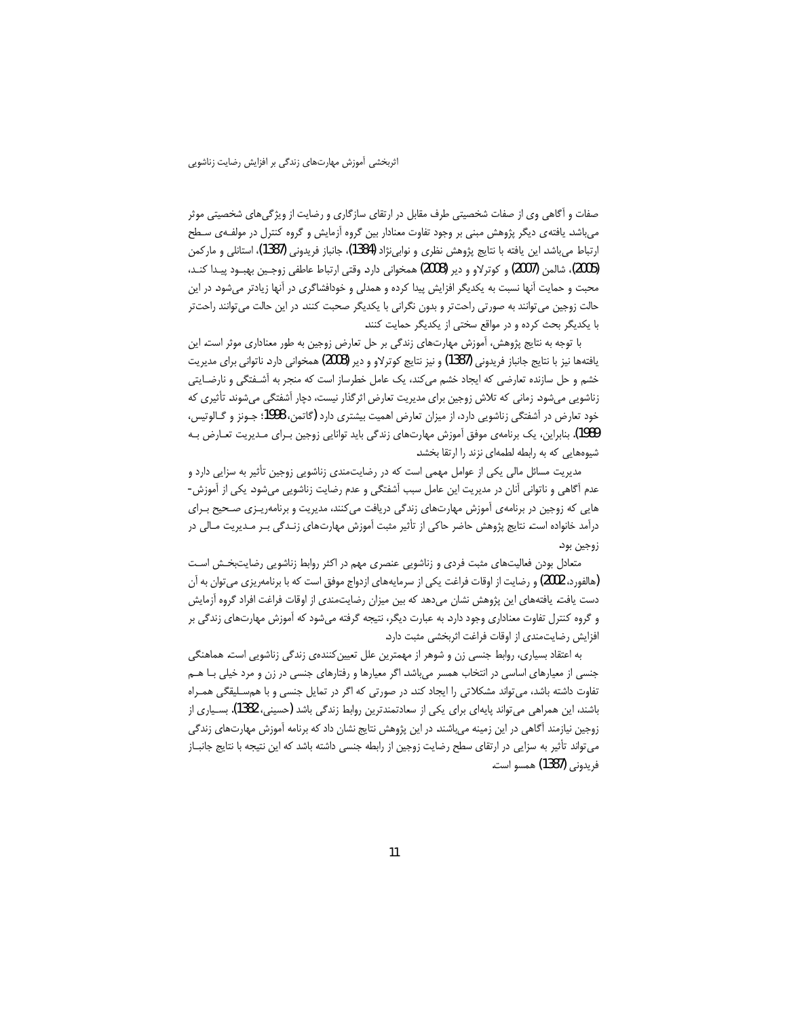صفات و آگاهی وی از صفات شخصیتی طرف مقابل در ارتقای سازگاری و رضایت از ویژگیهای شخصیتی موثر می باشد. یافته ی دیگر پژوهش مبنی بر وجود تفاوت معنادار بین گروه آزمایش و گروه کنترل در مولفـهی سـطح ارتباط ميeاشد. اين يافته با نتايج پژوهش نظري و نوابي $\,$ نژاد (1384)، جانباز فريدوني (1387)، استانلي و ماركمن (2005)، شالمن (2007) و كوترلاو و دير (2008) همخواني دارد. وقتي ارتباط عاطفي زوجـين بهبـود پيـدا كنـد، محبت و حمایت آنها نسبت به یکدیگر افزایش پیدا کرده و همدلی و خودافشاگری در آنها زیادتر میشود. در این حالت زوجین می توانند به صورتی راحت تر و بدون نگرانی با یکدیگر صحبت کنند. در این حالت می توانند راحت تر با یکدیگر بحث کرده و در مواقع سختی از یکدیگر حمایت کنند.

با توجه به نتایج پژوهش، آموزش مهارتهای زندگی بر حل تعارض زوجین به طور معناداری موثر است. این يافتهها نيز با نتايج جانباز فريدوني (1387) و نيز نتايج كوترلاو و دير (2008) همخواني دارد. ناتواني براي مديريت خشم و حل سازنده تعارضی که ایجاد خشم میکند، یک عامل خطرساز است که منجر به آشـفتگی و نارضـایتی زناشویی میشود. زمانی که تلاش زوجین برای مدیریت تعارض اثرگذار نیست، دچار آشفتگی میشوند. تأثیری که خود تعارض در آشفتگی زناشویی دارد، از میزان تعارض اهمیت بیشتری دارد (گاتمن، 1998؛ جـونز و گـالوتیس، 1989). بنابراین، یک برنامهی موفق آموزش مهارتهای زندگی باید توانایی زوجین بـرای مـدیریت تعـارض بـه شیوههایی که به رابطه لطمهای نزند را ارتقا بخشد.

مدیریت مسائل مالی یکی از عوامل مهمی است که در رضایتمندی زناشویی زوجین تأثیر به سزایی دارد و عدم أگاهي و ناتواني آنان در مديريت اين عامل سبب آشفتگي و عدم رضايت زناشويي ميشود. يكي از آموزش-هایی که زوجین در برنامهی آموزش مهارتهای زندگی دریافت میکنند، مدیریت و برنامهریزی صحیح برای درآمد خانواده است. نتایج پژوهش حاضر حاکی از تأثیر مثبت آموزش مهارتهای زنـدگی بـر مـدیریت مـالی در زوجين بود.

متعادل بودن فعالیتهای مثبت فردی و زناشویی عنصری مهم در اکثر روابط زناشویی رضایتبخش است (هالفورد، 2002) و رضایت از اوقات فراغت یکی از سرمایههای ازدواج موفق است که با برنامهریزی میتوان به آن دست یافت. یافتههای این پژوهش نشان میدهد که بین میزان رضایتمندی از اوقات فراغت افراد گروه آزمایش و گروه کنترل تفاوت معناداری وجود دارد. به عبارت دیگر، نتیجه گرفته میشود که آموزش مهارتهای زندگی بر افزایش رضایتمندی از اوقات فراغت اثربخشی مثبت دارد.

به اعتقاد بسیاری، روابط جنسی زن و شوهر از مهمترین علل تعیین کنندهی زندگی زناشویی است. هماهنگی جنسی از معیارهای اساسی در انتخاب همسر میباشد. اگر معیارها و رفتارهای جنسی در زن و مرد خیلی بـا هــم تفاوت داشته باشد، می تواند مشکلاتی را ایجاد کند. در صورتی که اگر در تمایل جنسی و با هم سلیقگی همـراه باشند، این همراهی می تواند پایهای برای یکی از سعادتمندترین روابط زندگی باشد (حسینی، 1382). بسـیاری از زوجین نیازمند آگاهی در این زمینه میباشند. در این پژوهش نتایج نشان داد که برنامه آموزش مهارتهای زندگی می تواند تأثیر به سزایی در ارتقای سطح رضایت زوجین از رابطه جنسی داشته باشد که این نتیجه با نتایج جانبــاز فريدوني (1387) همسو است.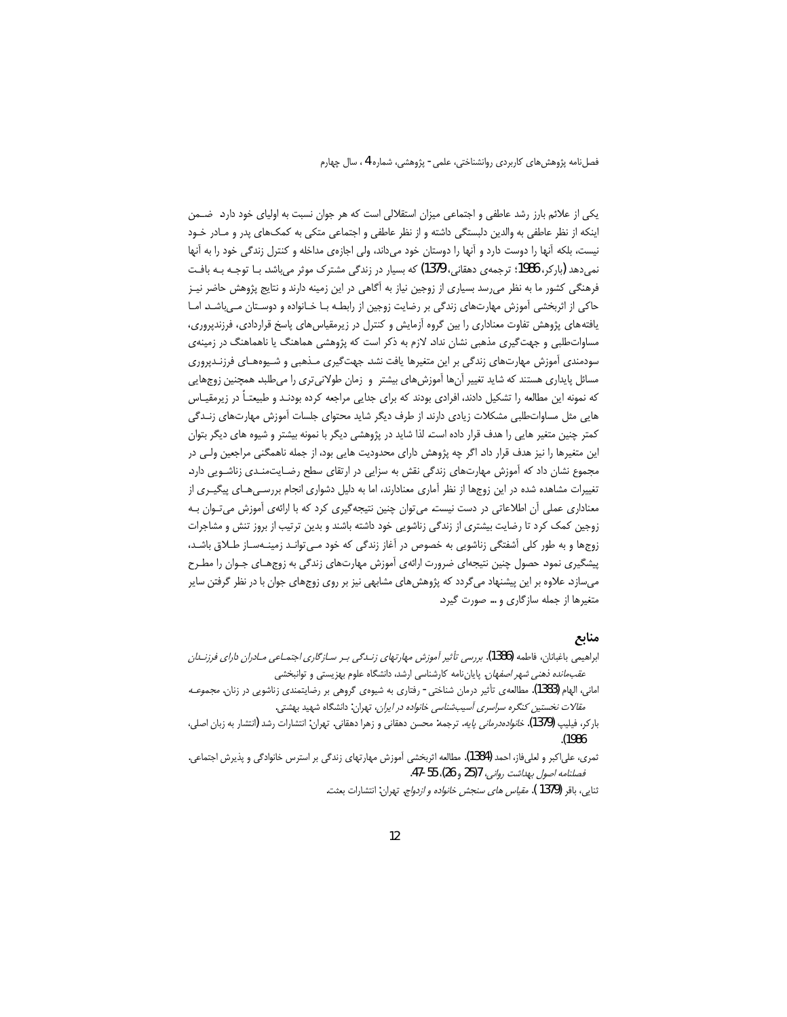یکی از علائم بارز رشد عاطفی و اجتماعی میزان استقلالی است که هر جوان نسبت به اولیای خود دارد. ضـمن اینکه از نظر عاطفی به والدین دلبستگی داشته و از نظر عاطفی و اجتماعی متکی به کمک&ای پدر و مـادر خـود نیست، بلکه آنها را دوست دارد و آنها را دوستان خود میداند، ولی اجازهی مداخله و کنترل زندگی خود را به آنها نمی دهد (بارکر، 1986: ترجمهی دهقانی، 1379) که بسیار در زندگی مشترک موثر میباشد. بـا توجـه بـه بافـت فرهنگی کشور ما به نظر میرسد بسیاری از زوجین نیاز به آگاهی در این زمینه دارند و نتایج پژوهش حاضر نیـز حاکی از اثربخشی آموزش مهارتهای زندگی بر رضایت زوجین از رابطـه بـا خـانواده و دوسـتان مـیLاشـد. امـا یافتههای پژوهش تفاوت معناداری را بین گروه آزمایش و کنترل در زیرمقیاسهای پاسخ قراردادی، فرزندپروری، مساوات طلبی و جهت گیری مذهبی نشان نداد. لازم به ذکر است که پژوهشی هماهنگ یا ناهماهنگ در زمینهی سودمندی آموزش مهارتهای زندگی بر این متغیرها یافت نشد. جهتگیری مـذهبی و شـیوههـای فرزنـدپروری مسائل پایداری هستند که شاید تغییر آنها آموزشهای بیشتر و زمان طولانی تری را میطلبد. همچنین زوجهایی که نمونه این مطالعه را تشکیل دادند، افرادی بودند که برای جدایی مراجعه کرده بودنـد و طبیعتـاً در زیرمقیـاس هایی مثل مساواتطلبی مشکلات زیادی دارند. از طرف دیگر شاید محتوای جلسات أموزش مهارتهای زنـدگی کمتر چنین متغیر هایی را هدف قرار داده است. لذا شاید در پژوهشی دیگر با نمونه بیشتر و شیوه های دیگر بتوان این متغیرها را نیز هدف قرار داد. اگر چه پژوهش دارای محدودیت هایی بود، از جمله ناهمگنی مراجعین ولـی در مجموع نشان داد که آموزش مهارتهای زندگی نقش به سزایی در ارتقای سطح رضـایتمنـدی زناشـویی دارد. تغییرات مشاهده شده در این زوجها از نظر آماری معنادارند، اما به دلیل دشواری انجام بررسـیِهـای پیگیـری از معناداری عملی آن اطلاعاتی در دست نیست. می توان چنین نتیجه گیری کرد که با ارائهی آموزش می تــوان بــه زوجین کمک کرد تا رضایت بیشتری از زندگی زناشویی خود داشته باشند و بدین ترتیب از بروز تنش و مشاجرات زوجها و به طور کلی آشفتگی زناشویی به خصوص در آغاز زندگی که خود مـی توانـد زمینـهسـاز طــلاق باشـد، پیشگیری نمود. حصول چنین نتیجهای ضرورت ارائهی آموزش مهارتهای زندگی به زوجهـای جـوان را مطـرح میسازد. علاوه بر این پیشنهاد میگردد که پژوهش های مشابهی نیز بر روی زوجهای جوان با در نظر گرفتن سایر متغیرها از جمله سازگاری و … صورت گیرد.

#### منابع

- ابراهیمی باغبانان، فاطمه (1386). برر*سی تأثیر آموزش مهارتهای زنـدگی بـر سـازگاری اجتمـاعی مـادران دارای فرزنــلان عقبمانده ذهنی شهر اصفهان.* پایانiامه کارشناسی ارشد، دانشگاه علوم بهزیستی و توانبخشی
- امانی، الهام (1383). مطالعه ی تأثیر درمان شناختی رفتاری به شیوه ی گروهی بر رضایتمندی زناشویی در زنان. *مجموعـه* مقالات نخستین کنگره سراسری آسیبشناسی خانواده در ایران، تهران: دانشگاه شهید بهشتی.
- بارکر، فیلیپ (1379). *خانوادهدرمانی پایه*. ترجمه: محسن دهقانی و زهرا دهقانی. تهران: انتشارات رشد (انتشار به زبان اصلی، .(1986
- ثمري، علي|كبر و لعليفاز، احمد (1384). مطالعه اثربخشي آموزش مهارتهاي زندگي بر استرس خانوادگي و پذيرش اجتماعي. فصلنامه اصول بهداشت رواني، 25/7 و 26)، 55-47.

ثنايي، باقر (1379 ). *مقياس هاي سنجش خانواده و ازدواج*. تهران: انتشارات بعثت.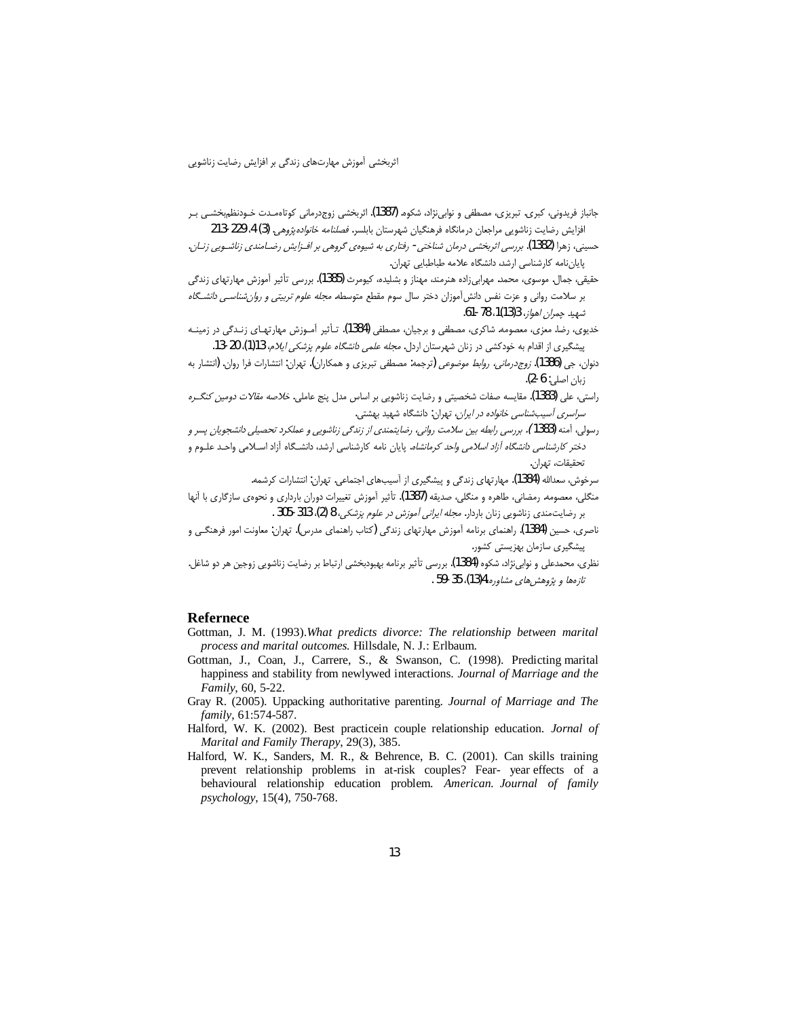- جانباز فریدونی، کبری. تبریزی، مصطفی و نوابی $\zeta$ اد، شکوه. (1387). اثربخشی زوجدرمانی کوتاهمـدت خـودنظم٬خشــی بـر افزايش رضايت زناشويي مراجعان درمانگاه فرهنگيان شهرستان بابلسر. *فصلنامه خانواده پژوهي.* (3) 4. 229-213
- حسینی، زهرا (1382). بررسی اثربخشی درمان شناختی- رفتاری به شیوهی گروهی بر افـزایش رضـامندی زناشـویی زنـان. یابان,نامه کارشناسی ارشد، دانشگاه علامه طباطبایی تهران.
- حقیقی، جمال. موسوی، محمد. مهرابیiاده هنرمند، مهناز و بشلیده، کیومرث (1385). بررسی تأثیر آموزش مهارتهای زندگی بر سلامت روانی و عزت نفس دانش آموزان دختر سال سوم مقطع متوسطه. *مجله علوم تربیتی و روان شناسی دانشگاه* شهيد حمران إهواز، 3(13)1، 78-61.
- خدیوی، رضا. معزی، معصومه. شاکری، مصطفی و برجیان، مصطفی (1384). تـأثیر آمـوزش مهارتهـای زنـدگی در زمینـه پیشگیری از اقدام به خودکشی در زنان شهرستان اردل. *مجله علمی دانشگاه علوم پزشکی ایلام،* 13(1)، 20-13.
- دنوان، جي (1386). *زوج درماني، روابط موضوعي* (ترجمه: مصطفى تبريزي و همكاران). تهران: انتشارات فرا روان. (انتشار به  $(2-6; 3)$  ; بان اصلي:
- راستی، علی (1383). مقایسه صفات شخصیتی و رضایت زناشویی بر اساس مدل پنج عاملی. *خلاصه مقالات دومین کنگـره* سر*اسری آسیبشناسی خانواده در ایران،* تهران: دانشگاه شهید بهشتی.
- رسولی، آمنه (1383). بررسی رابطه بین سلامت روانی، رضایتمندی از زندگی زناشویی و عملکرد تحصیلی دانشجویان پسر و دختر *کارشناسی دانشگاه آزاد اسلامی واحد کرمانشاه*. پایان نامه کارشناسی ارشد، دانشگاه آزاد اسـلامی واحـد علـوم و تحقيقات، تهران.
	- سرخوش، سعدالله (1384). مهارتهای زندگی و پیشگیری از آسیبهای اجتماعی. تهران: انتشارات کرشمه.
- منگلی، معصومه. رمضانی، طاهره و منگلی، صدیقه (1387). تأثیر آموزش تغییرات دوران بارداری و نحوهی سازگاری با آنها بر رضایت مندی زناشویی زنان باردار. *مجله ایرانی آموزش در علوم پزشکی،* 8 (2)، 313-305 .
- ناصری، حسین (1384). راهنمای برنامه آموزش مهارتهای زندگی (کتاب راهنمای مدرس). تهران: معاونت امور فرهنگـی و ییشگیری سازمان بهزیستی کشور.
- نظري، محمدعلي و نوابي $i$ اد، شكوه (1384). بررسي تأثير برنامه بهبودبخشي ارتباط بر رضايت زناشويي زوجين هر دو شاغل. تازەھا ويژوھش ھاي مشاورە،4(13)، 35-59 .

### **Refernece**

- Gottman, J. M. (1993). What predicts divorce: The relationship between marital process and marital outcomes. Hillsdale, N. J.: Erlbaum.
- Gottman, J., Coan, J., Carrere, S., & Swanson, C. (1998). Predicting marital happiness and stability from newlywed interactions. Journal of Marriage and the *Family*, 60, 5-22.
- Gray R. (2005). Uppacking authoritative parenting. Journal of Marriage and The family, 61:574-587.
- Halford, W. K. (2002). Best practicein couple relationship education. Jornal of Marital and Family Therapy, 29(3), 385.
- Halford, W. K., Sanders, M. R., & Behrence, B. C. (2001). Can skills training prevent relationship problems in at-risk couples? Fear- year effects of a behavioural relationship education problem. American. Journal of family psychology, 15(4), 750-768.